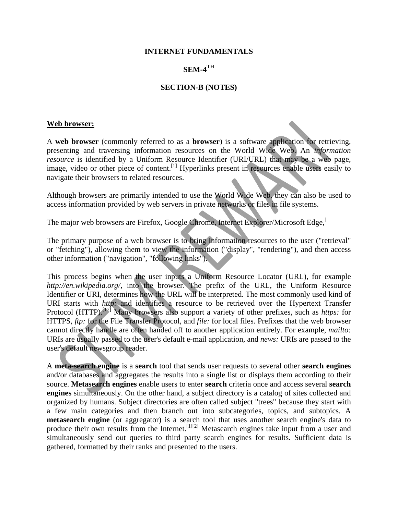#### **INTERNET FUNDAMENTALS**

#### **SEM-4TH**

#### **SECTION-B (NOTES)**

#### **Web browser:**

A **web browser** (commonly referred to as a **browser**) is a software application for retrieving, presenting and traversing information resources on the World Wide Web. An *information resource* is identified by a Uniform Resource Identifier (URI/URL) that may be a web page, image, video or other piece of content.<sup>[1]</sup> Hyperlinks present in resources enable users easily to navigate their browsers to related resources.

Although browsers are primarily intended to use the World Wide Web, they can also be used to access information provided by web servers in private networks or files in file systems.

The major web browsers are Firefox, Google Chrome, Internet Explorer/Microsoft Edge,<sup>[1]</sup>

The primary purpose of a web browser is to bring information resources to the user ("retrieval" or "fetching"), allowing them to view the information ("display", "rendering"), and then access other information ("navigation", "following links").

This process begins when the user inputs a Uniform Resource Locator (URL), for example *http://en.wikipedia.org/*, into the browser. The prefix of the URL, the Uniform Resource Identifier or URI, determines how the URL will be interpreted. The most commonly used kind of URI starts with *http:* and identifies a resource to be retrieved over the Hypertext Transfer Protocol (HTTP).<sup>[17]</sup> Many browsers also support a variety of other prefixes, such as *https:* for HTTPS, *ftp:* for the File Transfer Protocol, and *file:* for local files. Prefixes that the web browser cannot directly handle are often handed off to another application entirely. For example, *mailto:* URIs are usually passed to the user's default e-mail application, and *news:* URIs are passed to the user's default newsgroup reader.

A **meta-search engine** is a **search** tool that sends user requests to several other **search engines** and/or databases and aggregates the results into a single list or displays them according to their source. **Metasearch engines** enable users to enter **search** criteria once and access several **search engines** simultaneously. On the other hand, a subject directory is a catalog of sites collected and organized by humans. Subject directories are often called subject "trees" because they start with a few main categories and then branch out into subcategories, topics, and subtopics. A **metasearch engine** (or aggregator) is a search tool that uses another search engine's data to produce their own results from the Internet.<sup>[1][2]</sup> Metasearch engines take input from a user and simultaneously send out queries to third party search engines for results. Sufficient data is gathered, formatted by their ranks and presented to the users.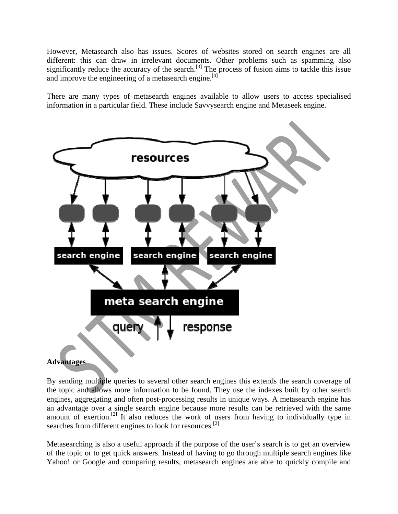However, Metasearch also has issues. Scores of websites stored on search engines are all different: this can draw in irrelevant documents. Other problems such as spamming also significantly reduce the accuracy of the search.<sup>[3]</sup> The process of fusion aims to tackle this issue and improve the engineering of a metasearch engine.<sup>[4]</sup>

There are many types of metasearch engines available to allow users to access specialised information in a particular field. These include Savvysearch engine and Metaseek engine.



## **Advantages**

By sending multiple queries to several other search engines this extends the search coverage of the topic and allows more information to be found. They use the indexes built by other search engines, aggregating and often post-processing results in unique ways. A metasearch engine has an advantage over a single search engine because more results can be retrieved with the same amount of exertion.<sup>[2]</sup> It also reduces the work of users from having to individually type in searches from different engines to look for resources.<sup>[2]</sup>

Metasearching is also a useful approach if the purpose of the user's search is to get an overview of the topic or to get quick answers. Instead of having to go through multiple search engines like Yahoo! or Google and comparing results, metasearch engines are able to quickly compile and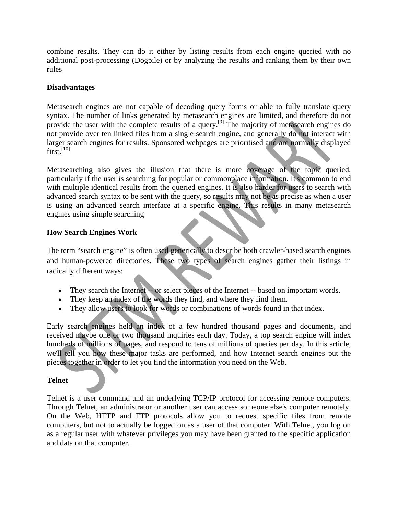combine results. They can do it either by listing results from each engine queried with no additional post-processing (Dogpile) or by analyzing the results and ranking them by their own rules

### **Disadvantages**

Metasearch engines are not capable of decoding query forms or able to fully translate query syntax. The number of links generated by metasearch engines are limited, and therefore do not provide the user with the complete results of a query.<sup>[9]</sup> The majority of metasearch engines do not provide over ten linked files from a single search engine, and generally do not interact with larger search engines for results. Sponsored webpages are prioritised and are normally displayed  $first<sup>[10]</sup>$ 

Metasearching also gives the illusion that there is more coverage of the topic queried, particularly if the user is searching for popular or commonplace information. It's common to end with multiple identical results from the queried engines. It is also harder for users to search with advanced search syntax to be sent with the query, so results may not be as precise as when a user is using an advanced search interface at a specific engine. This results in many metasearch engines using simple searching

#### **How Search Engines Work**

The term "search engine" is often used generically to describe both crawler-based search engines and human-powered directories. These two types of search engines gather their listings in radically different ways:

- They search the Internet -- or select pieces of the Internet -- based on important words.
- They keep an index of the words they find, and where they find them.
- They allow users to look for words or combinations of words found in that index.

Early search engines held an index of a few hundred thousand pages and documents, and received maybe one or two thousand inquiries each day. Today, a top search engine will index hundreds of millions of pages, and respond to tens of millions of queries per day. In this article, we'll tell you how these major tasks are performed, and how Internet search engines put the pieces together in order to let you find the information you need on the Web.

## **Telnet**

Telnet is a user command and an underlying TCP/IP protocol for accessing remote computers. Through Telnet, an administrator or another user can access someone else's computer remotely. On the Web, HTTP and FTP protocols allow you to request specific files from remote computers, but not to actually be logged on as a user of that computer. With Telnet, you log on as a regular user with whatever privileges you may have been granted to the specific application and data on that computer.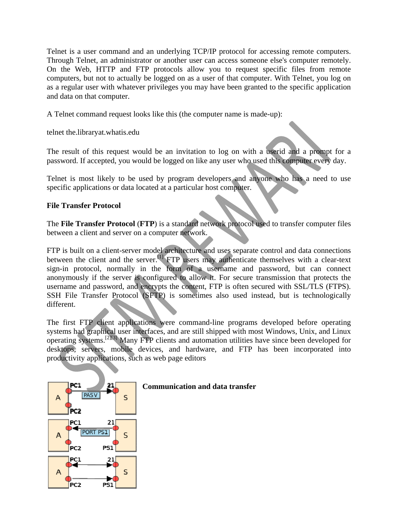Telnet is a user command and an underlying TCP/IP protocol for accessing remote computers. Through Telnet, an administrator or another user can access someone else's computer remotely. On the Web, HTTP and FTP protocols allow you to request specific files from remote computers, but not to actually be logged on as a user of that computer. With Telnet, you log on as a regular user with whatever privileges you may have been granted to the specific application and data on that computer.

A Telnet command request looks like this (the computer name is made-up):

telnet the.libraryat.whatis.edu

The result of this request would be an invitation to log on with a userid and a prompt for a password. If accepted, you would be logged on like any user who used this computer every day.

Telnet is most likely to be used by program developers and anyone who has a need to use specific applications or data located at a particular host computer.

## **File Transfer Protocol**

The **File Transfer Protocol** (**FTP**) is a standard network protocol used to transfer computer files between a client and server on a computer network.

FTP is built on a client-server model architecture and uses separate control and data connections between the client and the server.<sup>[1]</sup> FTP users may authenticate themselves with a clear-text sign-in protocol, normally in the form of a username and password, but can connect anonymously if the server is configured to allow it. For secure transmission that protects the username and password, and encrypts the content, FTP is often secured with SSL/TLS (FTPS). SSH File Transfer Protocol (SFTP) is sometimes also used instead, but is technologically different.

The first FTP client applications were command-line programs developed before operating systems had graphical user interfaces, and are still shipped with most Windows, Unix, and Linux operating systems.[2][3] Many FTP clients and automation utilities have since been developed for desktops, servers, mobile devices, and hardware, and FTP has been incorporated into productivity applications, such as web page editors



#### **Communication and data transfer**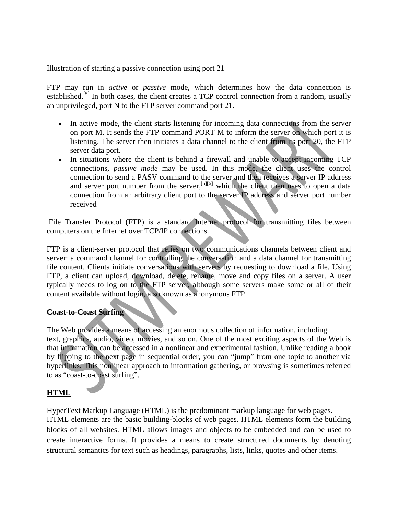Illustration of starting a passive connection using port 21

FTP may run in *active* or *passive* mode, which determines how the data connection is established.<sup>[5]</sup> In both cases, the client creates a TCP control connection from a random, usually an unprivileged, port N to the FTP server command port 21.

- In active mode, the client starts listening for incoming data connections from the server on port M. It sends the FTP command PORT M to inform the server on which port it is listening. The server then initiates a data channel to the client from its port 20, the FTP server data port.
- In situations where the client is behind a firewall and unable to accept incoming TCP connections, *passive mode* may be used. In this mode, the client uses the control connection to send a PASV command to the server and then receives a server IP address and server port number from the server,<sup>[5][6]</sup> which the client then uses to open a data connection from an arbitrary client port to the server IP address and server port number received

 File Transfer Protocol (FTP) is a standard Internet protocol for transmitting files between computers on the Internet over TCP/IP connections.

FTP is a client-server protocol that relies on two communications channels between client and server: a command channel for controlling the conversation and a data channel for transmitting file content. Clients initiate conversations with servers by requesting to download a file. Using FTP, a client can upload, download, delete, rename, move and copy files on a server. A user typically needs to log on to the FTP server, although some servers make some or all of their content available without login, also known as anonymous FTP

#### **Coast-to-Coast Surfing**

The Web provides a means of accessing an enormous collection of information, including text, graphics, audio, video, movies, and so on. One of the most exciting aspects of the Web is that information can be accessed in a nonlinear and experimental fashion. Unlike reading a book by flipping to the next page in sequential order, you can "jump" from one topic to another via hyperlinks. This nonlinear approach to information gathering, or browsing is sometimes referred to as "coast-to-coast surfing".

## **HTML**

HyperText Markup Language (HTML) is the predominant markup language for web pages. HTML elements are the basic building-blocks of web pages. HTML elements form the building blocks of all websites. HTML allows images and objects to be embedded and can be used to create interactive forms. It provides a means to create structured documents by denoting structural semantics for text such as headings, paragraphs, lists, links, quotes and other items.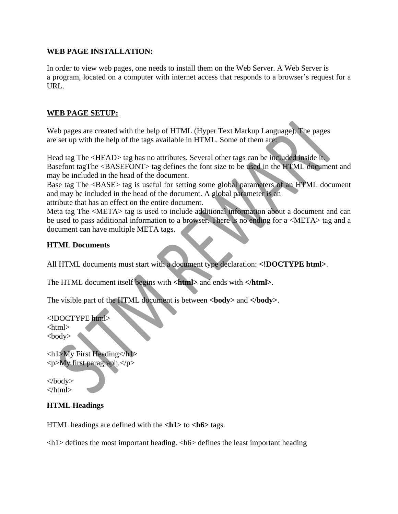#### **WEB PAGE INSTALLATION:**

In order to view web pages, one needs to install them on the Web Server. A Web Server is a program, located on a computer with internet access that responds to a browser's request for a URL.

### **WEB PAGE SETUP:**

Web pages are created with the help of HTML (Hyper Text Markup Language). The pages are set up with the help of the tags available in HTML. Some of them are:

Head tag The <HEAD> tag has no attributes. Several other tags can be included inside it. Basefont tagThe <BASEFONT> tag defines the font size to be used in the HTML document and may be included in the head of the document.

Base tag The <BASE> tag is useful for setting some global parameters of an HTML document and may be included in the head of the document. A global parameter is an attribute that has an effect on the entire document.

Meta tag The <META> tag is used to include additional information about a document and can be used to pass additional information to a browser. There is no ending for a <META> tag and a document can have multiple META tags.

#### **HTML Documents**

All HTML documents must start with a document type declaration: **<!DOCTYPE html>**.

The HTML document itself begins with **<html>** and ends with **</html>**.

The visible part of the HTML document is between <br/>**body>** and </br/>body>.

<!DOCTYPE html>

<html> <body>

 $\langle h1\rangle$ My First Heading $\langle h1\rangle$ <p>My first paragraph.</p>

</body> </html>

## **HTML Headings**

HTML headings are defined with the **<h1>** to **<h6>** tags.

 $\langle h \rangle$  defines the most important heading.  $\langle h \rangle$  defines the least important heading